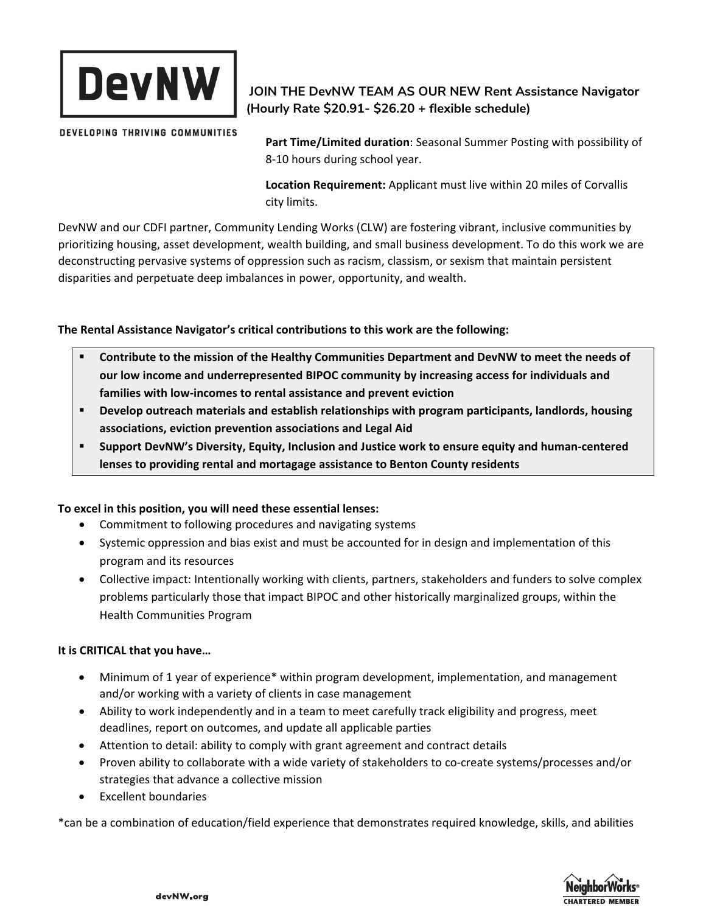

DEVELOPING THRIVING COMMUNITIES

## **JOIN THE DevNW TEAM AS OUR NEW Rent Assistance Navigator (Hourly Rate \$20.91- \$26.20 + flexible schedule)**

**Part Time/Limited duration**: Seasonal Summer Posting with possibility of 8-10 hours during school year.

**Location Requirement:** Applicant must live within 20 miles of Corvallis city limits.

DevNW and our CDFI partner, Community Lending Works (CLW) are fostering vibrant, inclusive communities by prioritizing housing, asset development, wealth building, and small business development. To do this work we are deconstructing pervasive systems of oppression such as racism, classism, or sexism that maintain persistent disparities and perpetuate deep imbalances in power, opportunity, and wealth.

**The Rental Assistance Navigator's critical contributions to this work are the following:**

- **Contribute to the mission of the Healthy Communities Department and DevNW to meet the needs of our low income and underrepresented BIPOC community by increasing access for individuals and families with low-incomes to rental assistance and prevent eviction**
- **Develop outreach materials and establish relationships with program participants, landlords, housing associations, eviction prevention associations and Legal Aid**
- **Support DevNW's Diversity, Equity, Inclusion and Justice work to ensure equity and human-centered lenses to providing rental and mortagage assistance to Benton County residents**

## **To excel in this position, you will need these essential lenses:**

- Commitment to following procedures and navigating systems
- Systemic oppression and bias exist and must be accounted for in design and implementation of this program and its resources
- Collective impact: Intentionally working with clients, partners, stakeholders and funders to solve complex problems particularly those that impact BIPOC and other historically marginalized groups, within the Health Communities Program

## **It is CRITICAL that you have…**

- Minimum of 1 year of experience\* within program development, implementation, and management and/or working with a variety of clients in case management
- Ability to work independently and in a team to meet carefully track eligibility and progress, meet deadlines, report on outcomes, and update all applicable parties
- Attention to detail: ability to comply with grant agreement and contract details
- Proven ability to collaborate with a wide variety of stakeholders to co-create systems/processes and/or strategies that advance a collective mission
- Excellent boundaries

\*can be a combination of education/field experience that demonstrates required knowledge, skills, and abilities